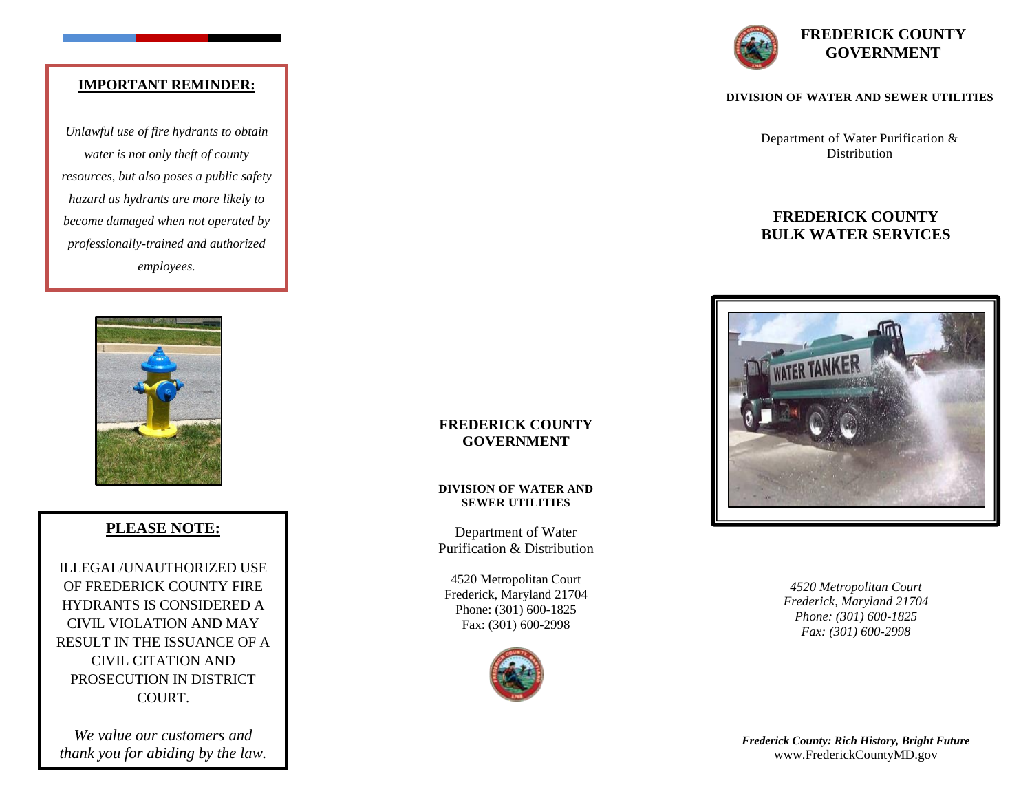# **IMPORTANT REMINDER:**

*Unlawful use of fire hydrants to obtain water is not only theft of county resources, but also poses a public safety hazard as hydrants are more likely to become damaged when not operated by professionally-trained and authorized employees.*



# **PLEASE NOTE:**

ILLEGAL/UNAUTHORIZED USE OF FREDERICK COUNTY FIRE HYDRANTS IS CONSIDERED A CIVIL VIOLATION AND MAY RESULT IN THE ISSUANCE OF A CIVIL CITATION AND PROSECUTION IN DISTRICT COURT.

*We value our customers and thank you for abiding by the law.* 

### **FREDERICK COUNTY GOVERNMENT**

#### **DIVISION OF WATER AND SEWER UTILITIES**

Department of Water Purification & Distribution

4520 Metropolitan Court Frederick, Maryland 21704 Phone: (301) 600-1825 Fax: (301) 600-2998





#### **DIVISION OF WATER AND SEWER UTILITIES**

Department of Water Purification & **Distribution** 

# **FREDERICK COUNTY BULK WATER SERVICES**



*4520 Metropolitan Court Frederick, Maryland 21704 Phone: (301) 600-1825 Fax: (301) 600-2998*

*Frederick County: Rich History, Bright Future* www.FrederickCountyMD.gov